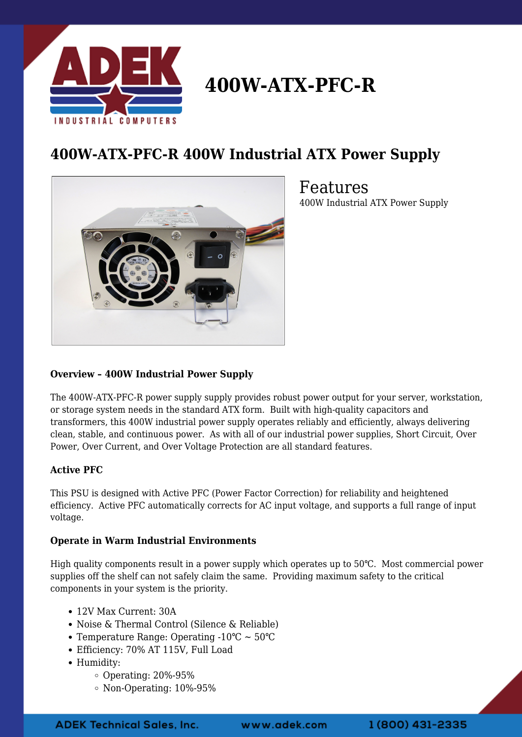

# **400W-ATX-PFC-R**

## **400W-ATX-PFC-R 400W Industrial ATX Power Supply**



Features 400W Industrial ATX Power Supply

### **Overview – 400W Industrial Power Supply**

The 400W-ATX-PFC-R power supply supply provides robust power output for your server, workstation, or storage system needs in the standard ATX form. Built with high-quality capacitors and transformers, this 400W industrial power supply operates reliably and efficiently, always delivering clean, stable, and continuous power. As with all of our industrial power supplies, Short Circuit, Over Power, Over Current, and Over Voltage Protection are all standard features.

### **Active PFC**

This PSU is designed with Active PFC (Power Factor Correction) for reliability and heightened efficiency. Active PFC automatically corrects for AC input voltage, and supports a full range of input voltage.

### **Operate in Warm Industrial Environments**

High quality components result in a power supply which operates up to 50℃. Most commercial power supplies off the shelf can not safely claim the same. Providing maximum safety to the critical components in your system is the priority.

- 12V Max Current: 30A
- Noise & Thermal Control (Silence & Reliable)
- Temperature Range: Operating -10℃ ~ 50℃
- Efficiency: 70% AT 115V, Full Load
- Humidity:
	- $\circ$  Operating: 20%-95%
	- Non-Operating: 10%-95%

www.adek.com